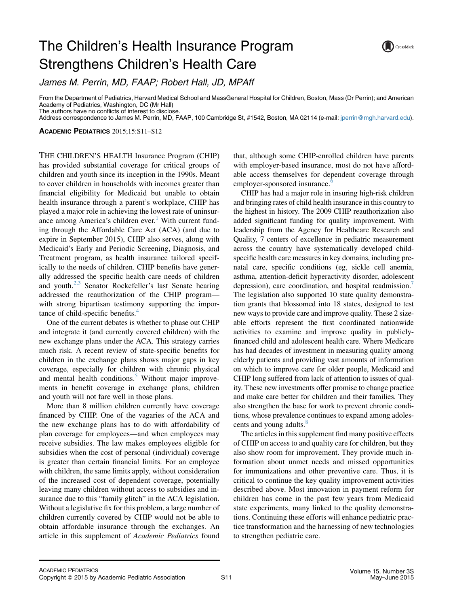## The Children's Health Insurance Program Strengthens Children's Health Care



James M. Perrin, MD, FAAP; Robert Hall, JD, MPAff

From the Department of Pediatrics, Harvard Medical School and MassGeneral Hospital for Children, Boston, Mass (Dr Perrin); and American Academy of Pediatrics, Washington, DC (Mr Hall) The authors have no conflicts of interest to disclose.

Address correspondence to James M. Perrin, MD, FAAP, 100 Cambridge St, #1542, Boston, MA 02114 (e-mail: [jperrin@mgh.harvard.edu\)](mailto:jperrin@mgh.harvard.edu).

ACADEMIC PEDIATRICS 2015;15:S11–S12

THE CHILDREN'S HEALTH Insurance Program (CHIP) has provided substantial coverage for critical groups of children and youth since its inception in the 1990s. Meant to cover children in households with incomes greater than financial eligibility for Medicaid but unable to obtain health insurance through a parent's workplace, CHIP has played a major role in achieving the lowest rate of uninsur-ance among America's children ever.<sup>[1](#page-1-0)</sup> With current funding through the Affordable Care Act (ACA) (and due to expire in September 2015), CHIP also serves, along with Medicaid's Early and Periodic Screening, Diagnosis, and Treatment program, as health insurance tailored specifically to the needs of children. CHIP benefits have generally addressed the specific health care needs of children and youth. $2,3$  Senator Rockefeller's last Senate hearing addressed the reauthorization of the CHIP program with strong bipartisan testimony supporting the impor-tance of child-specific benefits.<sup>[4](#page-1-0)</sup>

One of the current debates is whether to phase out CHIP and integrate it (and currently covered children) with the new exchange plans under the ACA. This strategy carries much risk. A recent review of state-specific benefits for children in the exchange plans shows major gaps in key coverage, especially for children with chronic physical and mental health conditions.<sup>[5](#page-1-0)</sup> Without major improvements in benefit coverage in exchange plans, children and youth will not fare well in those plans.

More than 8 million children currently have coverage financed by CHIP. One of the vagaries of the ACA and the new exchange plans has to do with affordability of plan coverage for employees—and when employees may receive subsidies. The law makes employees eligible for subsidies when the cost of personal (individual) coverage is greater than certain financial limits. For an employee with children, the same limits apply, without consideration of the increased cost of dependent coverage, potentially leaving many children without access to subsidies and insurance due to this "family glitch" in the ACA legislation. Without a legislative fix for this problem, a large number of children currently covered by CHIP would not be able to obtain affordable insurance through the exchanges. An article in this supplement of Academic Pediatrics found that, although some CHIP-enrolled children have parents with employer-based insurance, most do not have affordable access themselves for dependent coverage through employer-sponsored insurance.<sup>[6](#page-1-0)</sup>

CHIP has had a major role in insuring high-risk children and bringing rates of child health insurance in this country to the highest in history. The 2009 CHIP reauthorization also added significant funding for quality improvement. With leadership from the Agency for Healthcare Research and Quality, 7 centers of excellence in pediatric measurement across the country have systematically developed childspecific health care measures in key domains, including prenatal care, specific conditions (eg, sickle cell anemia, asthma, attention-deficit hyperactivity disorder, adolescent depression), care coordination, and hospital readmission.<sup>7</sup> The legislation also supported 10 state quality demonstration grants that blossomed into 18 states, designed to test new ways to provide care and improve quality. These 2 sizeable efforts represent the first coordinated nationwide activities to examine and improve quality in publiclyfinanced child and adolescent health care. Where Medicare has had decades of investment in measuring quality among elderly patients and providing vast amounts of information on which to improve care for older people, Medicaid and CHIP long suffered from lack of attention to issues of quality. These new investments offer promise to change practice and make care better for children and their families. They also strengthen the base for work to prevent chronic conditions, whose prevalence continues to expand among adolescents and young adults.<sup>8</sup>

The articles in this supplement find many positive effects of CHIP on access to and quality care for children, but they also show room for improvement. They provide much information about unmet needs and missed opportunities for immunizations and other preventive care. Thus, it is critical to continue the key quality improvement activities described above. Most innovation in payment reform for children has come in the past few years from Medicaid state experiments, many linked to the quality demonstrations. Continuing these efforts will enhance pediatric practice transformation and the harnessing of new technologies to strengthen pediatric care.